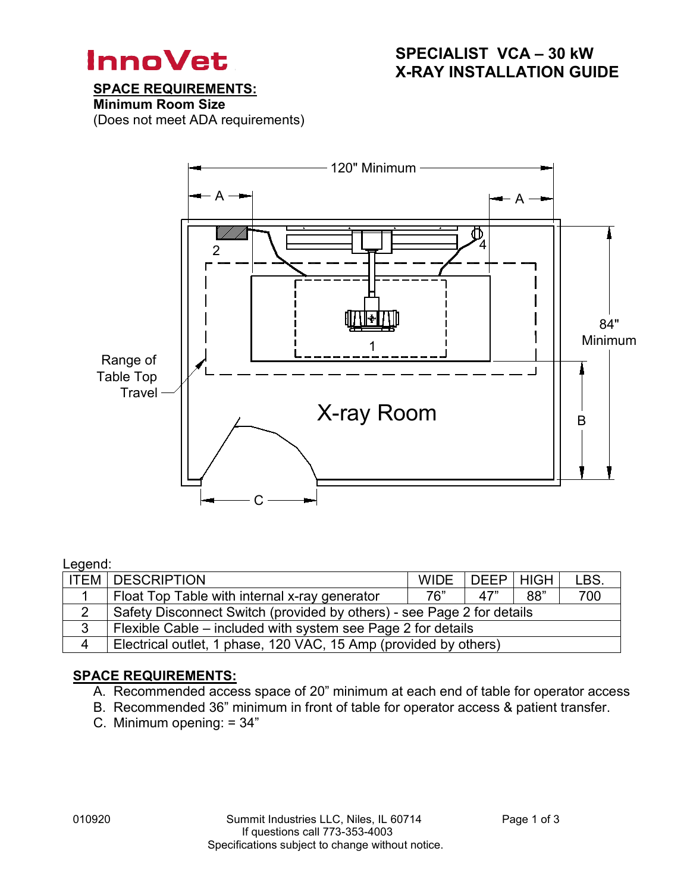

## SPECIALIST VCA – 30 kW X-RAY INSTALLATION GUIDE

## SPACE REQUIREMENTS:

Minimum Room Size

(Does not meet ADA requirements)



### Legend:

|                | <b>ITEM DESCRIPTION</b>                                                | <b>WIDE</b> | DEEP   HIGH |     | LBS. |  |  |  |  |
|----------------|------------------------------------------------------------------------|-------------|-------------|-----|------|--|--|--|--|
|                | Float Top Table with internal x-ray generator                          | 76"         | 47"         | 88" | 700  |  |  |  |  |
| $\overline{2}$ | Safety Disconnect Switch (provided by others) - see Page 2 for details |             |             |     |      |  |  |  |  |
| 3              | Flexible Cable – included with system see Page 2 for details           |             |             |     |      |  |  |  |  |
| $\overline{4}$ | Electrical outlet, 1 phase, 120 VAC, 15 Amp (provided by others)       |             |             |     |      |  |  |  |  |

## SPACE REQUIREMENTS:

- A. Recommended access space of 20" minimum at each end of table for operator access
- B. Recommended 36" minimum in front of table for operator access & patient transfer.
- C. Minimum opening: = 34"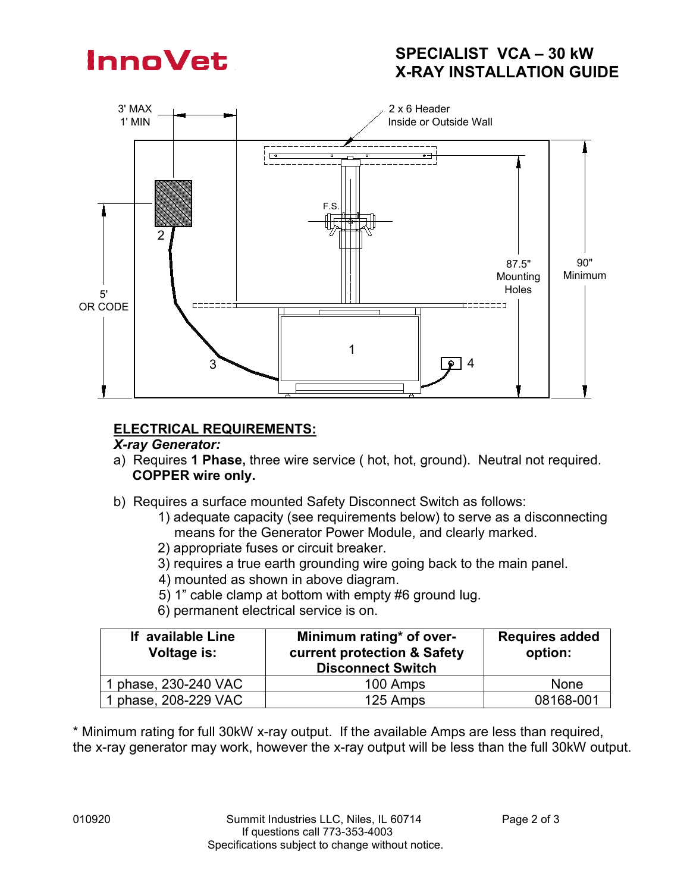# **InnoVet**

# SPECIALIST VCA – 30 kW X-RAY INSTALLATION GUIDE



# ELECTRICAL REQUIREMENTS:

## *X-ray Generator:*

- a) Requires 1 Phase, three wire service ( hot, hot, ground). Neutral not required. COPPER wire only.
- b) Requires a surface mounted Safety Disconnect Switch as follows:
	- 1) adequate capacity (see requirements below) to serve as a disconnecting means for the Generator Power Module, and clearly marked.
	- 2) appropriate fuses or circuit breaker.
	- 3) requires a true earth grounding wire going back to the main panel.
	- 4) mounted as shown in above diagram.
	- 5) 1" cable clamp at bottom with empty #6 ground lug.
	- 6) permanent electrical service is on.

| If available Line<br>Voltage is: | Minimum rating* of over-<br>current protection & Safety<br><b>Disconnect Switch</b> | <b>Requires added</b><br>option: |
|----------------------------------|-------------------------------------------------------------------------------------|----------------------------------|
| 1 phase, 230-240 VAC             | 100 Amps                                                                            | <b>None</b>                      |
| 1 phase, 208-229 VAC             | 125 Amps                                                                            | 08168-001                        |

\* Minimum rating for full 30kW x-ray output. If the available Amps are less than required, the x-ray generator may work, however the x-ray output will be less than the full 30kW output.